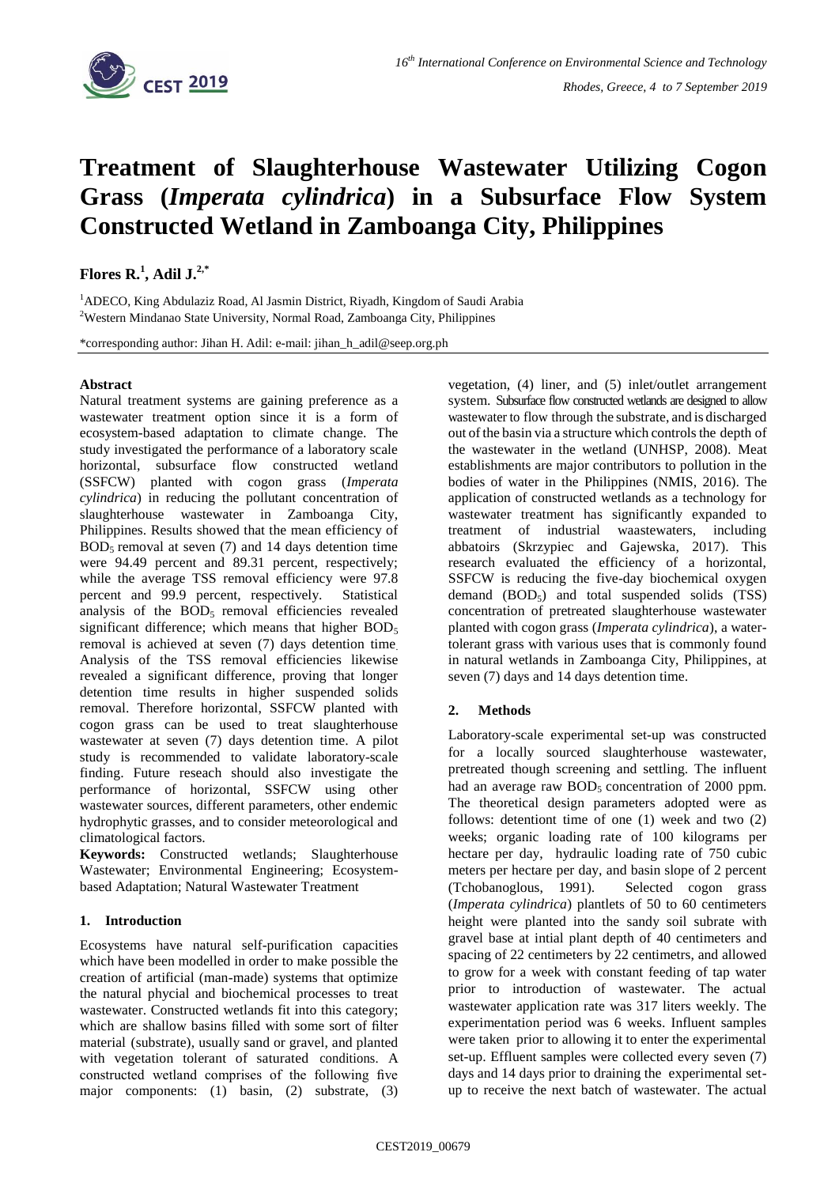

# **Treatment of Slaughterhouse Wastewater Utilizing Cogon Grass (***Imperata cylindrica***) in a Subsurface Flow System Constructed Wetland in Zamboanga City, Philippines**

## **Flores**  $\mathbf{R}$ <sup>1</sup>, Adil  $\mathbf{J}$ <sup>2,\*</sup>

<sup>1</sup>ADECO, King Abdulaziz Road, Al Jasmin District, Riyadh, Kingdom of Saudi Arabia <sup>2</sup>Western Mindanao State University, Normal Road, Zamboanga City, Philippines

\*corresponding author: Jihan H. Adil: e-mail: jihan\_h\_adil@seep.org.ph

#### **Abstract**

Natural treatment systems are gaining preference as a wastewater treatment option since it is a form of ecosystem-based adaptation to climate change. The study investigated the performance of a laboratory scale horizontal, subsurface flow constructed wetland (SSFCW) planted with cogon grass (*Imperata cylindrica*) in reducing the pollutant concentration of slaughterhouse wastewater in Zamboanga City, Philippines. Results showed that the mean efficiency of  $BOD<sub>5</sub>$  removal at seven (7) and 14 days detention time were 94.49 percent and 89.31 percent, respectively; while the average TSS removal efficiency were 97.8 percent and 99.9 percent, respectively. Statistical analysis of the  $BOD<sub>5</sub>$  removal efficiencies revealed significant difference; which means that higher  $BOD<sub>5</sub>$ removal is achieved at seven (7) days detention time. Analysis of the TSS removal efficiencies likewise revealed a significant difference, proving that longer detention time results in higher suspended solids removal. Therefore horizontal, SSFCW planted with cogon grass can be used to treat slaughterhouse wastewater at seven (7) days detention time. A pilot study is recommended to validate laboratory-scale finding. Future reseach should also investigate the performance of horizontal, SSFCW using other wastewater sources, different parameters, other endemic hydrophytic grasses, and to consider meteorological and climatological factors.

**Keywords:** Constructed wetlands; Slaughterhouse Wastewater; Environmental Engineering; Ecosystembased Adaptation; Natural Wastewater Treatment

### **1. Introduction**

Ecosystems have natural self-purification capacities which have been modelled in order to make possible the creation of artificial (man-made) systems that optimize the natural phycial and biochemical processes to treat wastewater. Constructed wetlands fit into this category; which are shallow basins filled with some sort of filter material (substrate), usually sand or gravel, and planted with vegetation tolerant of saturated conditions. A constructed wetland comprises of the following five major components: (1) basin, (2) substrate, (3)

vegetation, (4) liner, and (5) inlet/outlet arrangement system. Subsurface flow constructed wetlands are designed to allow wastewater to flow through the substrate, and is discharged out of the basin via a structure which controls the depth of the wastewater in the wetland (UNHSP, 2008). Meat establishments are major contributors to pollution in the bodies of water in the Philippines (NMIS, 2016). The application of constructed wetlands as a technology for wastewater treatment has significantly expanded to treatment of industrial waastewaters, including abbatoirs (Skrzypiec and Gajewska, 2017). This research evaluated the efficiency of a horizontal, SSFCW is reducing the five-day biochemical oxygen demand  $(BOD<sub>5</sub>)$  and total suspended solids  $(TSS)$ concentration of pretreated slaughterhouse wastewater planted with cogon grass (*Imperata cylindrica*), a watertolerant grass with various uses that is commonly found in natural wetlands in Zamboanga City, Philippines, at seven (7) days and 14 days detention time.

### **2. Methods**

Laboratory-scale experimental set-up was constructed for a locally sourced slaughterhouse wastewater, pretreated though screening and settling. The influent had an average raw  $BOD<sub>5</sub>$  concentration of 2000 ppm. The theoretical design parameters adopted were as follows: detentiont time of one (1) week and two (2) weeks; organic loading rate of 100 kilograms per hectare per day, hydraulic loading rate of 750 cubic meters per hectare per day, and basin slope of 2 percent (Tchobanoglous, 1991). Selected cogon grass (*Imperata cylindrica*) plantlets of 50 to 60 centimeters height were planted into the sandy soil subrate with gravel base at intial plant depth of 40 centimeters and spacing of 22 centimeters by 22 centimetrs, and allowed to grow for a week with constant feeding of tap water prior to introduction of wastewater. The actual wastewater application rate was 317 liters weekly. The experimentation period was 6 weeks. Influent samples were taken prior to allowing it to enter the experimental set-up. Effluent samples were collected every seven (7) days and 14 days prior to draining the experimental setup to receive the next batch of wastewater. The actual